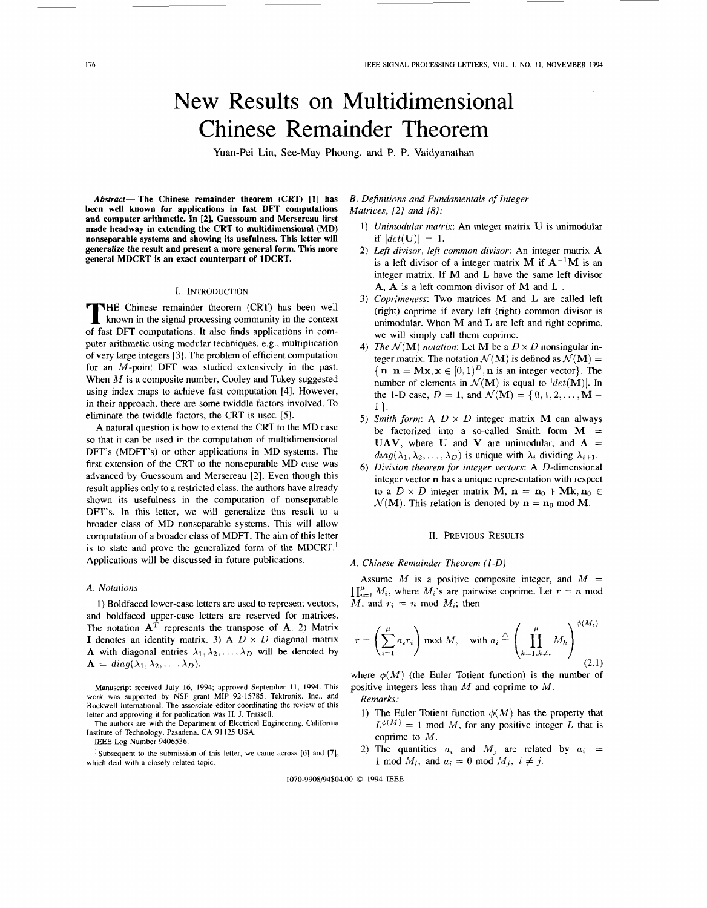# <span id="page-0-0"></span>New Results on Multidimensional Chinese Remainder Theorem

Yuan-Pei **Lin,** See-May Phoong, **and** P. P. Vaidyanathan

*Abstract-* **The Chinese remainder theorem (CRT) [l] has been well known for applications in fast DFT computations and computer arithmetic. In** *[2],* **Guessoum and Mersereau first made headway in extending the CRT to multidimensional (MD) nonseparable systems and showing its usefulness. This letter will generalize the result and present a more general form. This more general MDCRT is an exact counterpart of 1DCRT.** 

### I. INTRODUCTION

THE Chinese remainder theorem (CRT) has been well known in the signal processing community in the context of fast DFT computations. It also finds applications in computer arithmetic using modular techniques, e.g., multiplication of very large integers [3]. The problem of efficient computation for an  $M$ -point DFT was studied extensively in the past. When *M* is a composite number, Cooley and Tukey suggested using index maps to achieve fast computation [4]. However, in their approach, there are some twiddle factors involved. To eliminate the twiddle factors, the CRT is used *[5].* 

**A** natural question is how to extend the CRT to the MD case so that it can be used in the computation of multidimensional DFT's (MDFT's) or other applications in MU systems. The first extension of the CRT to the nonseparable MD case was advanced by Guessoum and Mersereau [2]. Even though this result applies only to a restricted class, the authors have already shown its usefulness in the computation of nonseparable DFT's. In this letter, we will generalize this result to a broader class of MD nonseparable systems. This will allow computation of a broader class of MDFT. The aim of this letter is to state and prove the generalized form of the MDCRT.' Applications will be discussed in future publications.

## A. Notations

1) Boldfaced lower-case letters are used to represent vectors, and boldfaced upper-case letters are reserved for matrices. The notation  $A<sup>T</sup>$  represents the transpose of  $A$ . 2) Matrix **I** denotes an identity matrix. 3) A  $D \times D$  diagonal matrix **A** with diagonal entries  $\lambda_1, \lambda_2, \ldots, \lambda_D$  will be denoted by  $\Lambda = diag(\lambda_1, \lambda_2, \ldots, \lambda_D).$ 

Manuscript received July **16,** 1994; approved Septemher 11, 1994. This work was supported by **NSF** grant MIP 92-15785, Tektronix, Inc., and Rockwell International. **The** assosciate editor coordinating the review of this letter and approving it for publication was **H.** J. Trussell.

IEEE Log Number 9406536.

<sup>1</sup> Subsequent to the submission of this letter, we came across [6] and [7], which deal with a closely related topic.

# *B. Definitions and Fundamentals of Integer Matrices, 121 and 181:*

- 1) *Unimodular matrix:* An integer matrix **U** is unimodular if  $|det(\mathbf{U})| = 1$ .
- *2) Lefi divisor, left common divisor:* An integer matrix **A**  is a left divisor of a integer matrix **M** if  $A^{-1}M$  is an integer matrix. If **M** and **L** have the same left divisor **A, A** is a left common divisor of **M** and **L** .
- 3) *Coprimeness:* Two matrices **M** and **L** are called left (right) coprime if every left (right) common divisor is unimodular. When **M** and **L** are left and right coprime, we will simply call them coprime.
- 4) *The*  $\mathcal{N}(\mathbf{M})$  *notation*: Let **M** be a  $D \times D$  nonsingular integer matrix. The notation  $\mathcal{N}(\mathbf{M})$  is defined as  $\mathcal{N}(\mathbf{M}) =$  $\{\mathbf{n} \mid \mathbf{n} = \mathbf{Mx}, \mathbf{x} \in [0, 1]^D, \mathbf{n} \text{ is an integer vector}\}.$  The number of elements in  $\mathcal{N}(\mathbf{M})$  is equal to  $|det(\mathbf{M})|$ . In the 1-D case,  $D = 1$ , and  $\mathcal{N}(\mathbf{M}) = \{0, 1, 2, ..., \mathbf{M} - \mathbf{M}\}$  $1$  }.
- 5) Smith form: A  $D \times D$  integer matrix **M** can always be factorized into a so-called Smith form  $M =$ **UAV**, where **U** and **V** are unimodular, and  $\Lambda$  =  $diag(\lambda_1, \lambda_2, ..., \lambda_D)$  is unique with  $\lambda_i$  dividing  $\lambda_{i+1}$ .
- **6)** *Division theorem for integer vectors:* A D-dimensional integer vector **n** has a unique representation with respect to a  $D \times D$  integer matrix **M**,  $\mathbf{n} = \mathbf{n}_0 + \mathbf{M}\mathbf{k}, \mathbf{n}_0 \in$  $\mathcal{N}(\mathbf{M})$ . This relation is denoted by  $\mathbf{n} = \mathbf{n}_0 \text{ mod } \mathbf{M}$ .

#### **11.** PREVIOUS RESULTS

## **A.** *Chinese Remainder Theorem (I-D)*

Assume  $M$  is a positive composite integer, and  $M =$  $\prod_{i=1}^{\mu} M_i$ , where  $M_i$ 's are pairwise coprime. Let  $r = n$  mod *M*, and  $r_i = n \text{ mod } M_i$ ; then

$$
r = \left(\sum_{i=1}^{\mu} a_i r_i\right) \bmod M, \quad \text{with } a_i \stackrel{\triangle}{=} \left(\prod_{k=1, k \neq i}^{\mu} M_k\right)^{\phi(M_i)}\tag{2.1}
$$

where  $\phi(M)$  (the Euler Totient function) is the number of positive integers less than  $M$  and coprime to  $M$ .

*Remarks:* 

- 1) The Euler Totient function  $\phi(M)$  has the property that  $L^{\phi(M)} = 1$  mod *M*, for any positive integer *L* that is coprime to *M.*
- 2) The quantities  $a_i$  and  $M_j$  are related by  $a_i$  = 1 mod  $M_i$ , and  $a_i = 0$  mod  $M_j$ ,  $i \neq j$ .

1070-9908/94\$04.00 *0* 1994 IEEE

The authors are with the Department of Electrical Engineering, California Institute **of** Technology, Pasadena, **CA** 91 125 **USA.**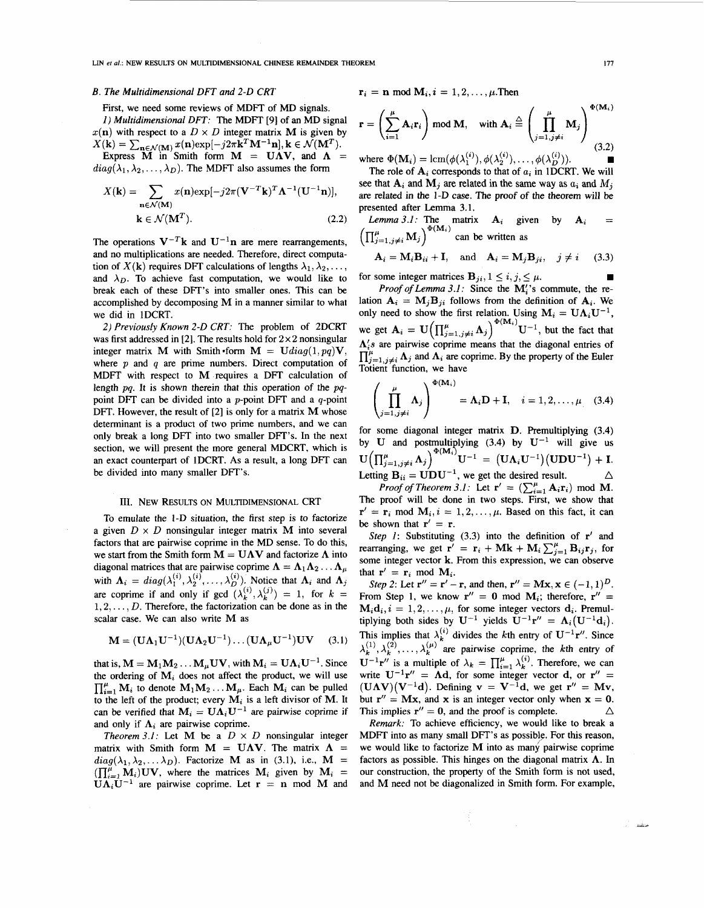LIN *et al.*: NEW RESULTS ON MULTIDIMENSIONAL CHINESE REMAINDER THEOREM **in a state of the state of the state of the state of the state of the state of the state of the state of the state of the state of the state of the s** 

# *B. The Multidimensional DFT and 2-0 CRT*

First, we need some reviews of MDFT of MD signals.

*1) Multidimensional DFT:* The MDFT [9] of an MD signal  $x(n)$  with respect to a  $D \times D$  integer matrix **M** is given by  $X(\mathbf{k}) = \sum_{\mathbf{n} \in \mathcal{N}(\mathbf{M})} x(\mathbf{n}) \exp[-j2\pi \mathbf{k}^T \mathbf{M}^{-1} \mathbf{n}], \mathbf{k} \in \mathcal{N}(\mathbf{M}^T).$ <br>Express **M** in Smith form **M** = **UAV**, and **A** =

 $diag(\lambda_1, \lambda_2, \ldots, \lambda_D)$ . The MDFT also assumes the form

$$
X(\mathbf{k}) = \sum_{\mathbf{n} \in \mathcal{N}(\mathbf{M})} x(\mathbf{n}) \exp[-j2\pi (\mathbf{V}^{-T}\mathbf{k})^T \mathbf{\Lambda}^{-1} (\mathbf{U}^{-1}\mathbf{n})],
$$
  

$$
\mathbf{k} \in \mathcal{N}(\mathbf{M}^T).
$$
 (2.2)

The operations  $V^{-T}k$  and  $U^{-1}n$  are mere rearrangements, and no multiplications are needed. Therefore, direct computation of  $X(\mathbf{k})$  requires DFT calculations of lengths  $\lambda_1, \lambda_2, \ldots$ and  $\lambda_D$ . To achieve fast computation, we would like to break each of these DFT's into smaller ones. This can be accomplished by decomposing **M** in a manner similar to what we did in 1DCRT.

*2) Previously Known 2-0 CKT:* The problem of 2DCRT was first addressed in [2]. The results hold for  $2 \times 2$  nonsingular integer matrix **M** with Smith form  $M = \text{U}diag(1, pq)V$ , where *p* and *q* are prime numbers. Direct computation of MDFT with respect to **M** requires a DFT calculation of length *pq.* It is shown therein that this operation of the *pq*point DFT can be divided into a  $p$ -point DFT and a  $q$ -point DFT. However, the result of [2] is only for a matrix **M** whose determinant is a product of two prime numbers, and we can only break a long DFT into two smaller DFT's. In the next section, we will present the more general MDCRT, which is an exact counterpart of 1DCRT. **As** a result, a long DFT can be divided into many smaller DFT's.

#### 111. NEW RESULTS ON MULTIDIMENSIONAL CRT

To emulate the 1-D situation, the first step is to factorize a given  $D \times D$  nonsingular integer matrix **M** into several factors that are pairwise coprime in the MD sense. To do this, we start from the Smith form  $M = UAV$  and factorize  $\Lambda$  into diagonal matrices that are pairwise coprime  $\Lambda = \Lambda_1 \Lambda_2 \ldots \Lambda_\mu$ with  $\Lambda_i = diag(\lambda_1^{(i)}, \lambda_2^{(i)}, \dots, \lambda_D^{(i)})$ . Notice that  $\Lambda_i$  and  $\Lambda_j$ are coprime if and only if gcd  $(\lambda_k^{(i)}, \lambda_k^{(j)}) = 1$ , for  $k =$ **1,2,.** . . , *D.* Therefore, the factorization can be done as in the scalar case. We can also write **M** as

$$
\mathbf{M} = (\mathbf{U}\Lambda_1\mathbf{U}^{-1})(\mathbf{U}\Lambda_2\mathbf{U}^{-1})\dots(\mathbf{U}\Lambda_\mu\mathbf{U}^{-1})\mathbf{U}\mathbf{V} \qquad (3.1)
$$

that is,  $M = M_1M_2...M_\mu UV$ , with  $M_i = U\Lambda_i U^{-1}$ . Since<br>the ordering of  $M_i$  does not affect the product, we will use  $\prod_{i=1}^{\mu} M_i$  to denote  $M_1 M_2 \ldots M_{\mu}$ . Each  $M_i$  can be pulled to the left of the product; every **M;** is a left divisor of **M.** It can be verified that  $M_i = U \Lambda_i U^{-1}$  are pairwise coprime if and only if  $\Lambda_i$  are pairwise coprime.

*Theorem 3.1:* Let **M** be a  $D \times D$  nonsingular integer matrix with Smith form  $M = UAV$ . The matrix  $\Lambda$  $diag(\lambda_1, \lambda_2, \ldots, \lambda_D)$ . Factorize **M** as in (3.1), i.e., **M** =  $\prod_{i=1}^{\mu} \mathbf{M}_i$  JUV, where the matrices  $\mathbf{M}_i$  given by  $\mathbf{M}_i$  =  $\mathbf{U}\Lambda_i\mathbf{U}^{-1}$  are pairwise coprime. Let  $\mathbf{r} = \mathbf{n}$  mod M and

$$
\mathbf{r}_i = \mathbf{n} \bmod \mathbf{M}_i, i = 1, 2, \ldots, \mu.
$$

$$
\mathbf{r} = \left(\sum_{i=1}^{\mu} \mathbf{A}_i \mathbf{r}_i\right) \text{ mod } \mathbf{M}, \quad \text{with } \mathbf{A}_i \stackrel{\triangle}{=} \left(\prod_{j=1, j\neq i}^{\mu} \mathbf{M}_j\right)^{\Phi(\mathbf{M}_i)}
$$
(3.2)

The role of  $A_i$  corresponds to that of  $a_i$  in 1DCRT. We will where  $\Phi(\mathbf{M}_i) = \text{lcm}(\phi(\lambda_1^{(i)}), \phi(\lambda_2^{(i)}), \dots, \phi(\lambda_D^{(i)})).$ 

see that  $A_i$  and  $M_j$  are related in the same way as  $a_i$  and  $M_j$ are related in the 1-D case. The proof of the theorem will be presented after Lemma 3.1.

*Lemma 3.1:* The matrix  $A_i$  given by  $A_i$  =  $\left(\prod_{j=1,j\neq i}^{\mu} \mathbf{M}_j\right)^{\Phi(\mathbf{M}_i)}$  can be written as

$$
\mathbf{A}_{i} = \mathbf{M}_{i} \mathbf{B}_{ii} + \mathbf{I}, \text{ and } \mathbf{A}_{i} = \mathbf{M}_{j} \mathbf{B}_{ji}, \quad j \neq i \quad (3.3)
$$

for some integer matrices  $\mathbf{B}_{ji}$ ,  $1 \le i, j \le \mu$ .

*Proof of Lemma 3.1:* Since the M'<sub>i</sub>'s commute, the relation  $A_i = M_j B_{ji}$  follows from the definition of  $A_i$ . We only need to show the first relation. Using  $M_i = U \Lambda_i U^{-1}$ , we get  $\mathbf{A}_i = \mathbf{U} \Big( \prod_{j=1, j \neq i}^{\mu} \mathbf{\Lambda}_j \Big)^{\Phi(\mathbf{M}_i)} \mathbf{U}^{-1}$ , but the fact that  $\Lambda$ 's are pairwise coprime means that the diagonal entries of  $\prod_{j=1,j\neq i}^{\mu} \Lambda_j$  and  $\Lambda_i$  are coprime. By the property of the Euler Totient function, we have

$$
\left(\prod_{j=1,j\neq i}^{\mu} \mathbf{\Lambda}_j\right)^{\Phi(\mathbf{M}_i)} = \mathbf{\Lambda}_i \mathbf{D} + \mathbf{I}, \quad i = 1, 2, \dots, \mu \quad (3.4)
$$

for some diagonal integer matrix **D.** Premultiplying (3.4) by U and postmultiplying (3.4) by  $U^{-1}$  will give us  $U(\prod_{j=1, j\neq i}^{\mu} \Lambda_j)^{\Phi(M_i)} U^{-1} = (U\Lambda_i U^{-1})(UDU^{-1}) + I.$ Letting  $\mathbf{B}_{ii} = \mathbf{U} \mathbf{D} \mathbf{U}^{-1}$ , we get the desired result.  $U^{-1} = (U\Lambda_i U^{-1})(UDU^{-1}) + I.$  $\Delta$ 

*Proof of Theorem 3.1:* Let  $\mathbf{r}' = (\sum_{i=1}^{\mu} \mathbf{A}_i \mathbf{r}_i) \mod \mathbf{M}$ . The proof will be done in two steps. First, we show that  $\mathbf{r}' = \mathbf{r}_i \text{ mod } \mathbf{M}_i, i = 1, 2, \dots, \mu$ . Based on this fact, it can be shown that  $\mathbf{r}' = \mathbf{r}$ .

*Step 1:* Substituting (3.3) into the definition of **r'** and **rearranging, we get**  $\mathbf{r}' = \mathbf{r}_i + \mathbf{M}\mathbf{k} + \mathbf{M}_i \sum_{i=1}^{\mu} \mathbf{B}_{ij} \mathbf{r}_j$ **, for** some integer vector **k.** From this expression, we can observe that  $\mathbf{r}' = \mathbf{r}_i \mod \mathbf{M}_i$ .

*Step 2:* Let  $r'' = r' - r$ , and then,  $r'' = Mx$ ,  $x \in (-1, 1)^{D}$ . From Step 1, we know  $\mathbf{r}'' = 0$  mod  $\mathbf{M}_i$ ; therefore,  $\mathbf{r}'' =$  $M_i d_i, i = 1, 2, \ldots, \mu$ , for some integer vectors  $d_i$ . Premultiplying both sides by  $U^{-1}$  yields  $U^{-1}r'' = \Lambda_i(U^{-1}d_i)$ . This implies that  $\lambda_k^{(i)}$  divides the kth entry of  $\mathbf{U}^{-1}\mathbf{r}''$ . Since  $\mathbf{U}^{-1}\mathbf{r}''$  is a multiple of  $\lambda_k = \prod_{i=1}^{\mu} \lambda_k^{(i)}$ . Therefore, we can write  $U^{-1}r'' = \Lambda d$ , for some integer vector d, or  $r'' =$  $(UAV)(V^{-1}d)$ . Defining  $v = V^{-1}d$ , we get  $r'' = Mv$ , but  $\mathbf{r}'' = \mathbf{M}\mathbf{x}$ , and  $\mathbf{x}$  is an integer vector only when  $\mathbf{x} = 0$ .  $\triangle$  $\lambda_k^{(1)}, \lambda_k^{(2)}, \ldots, \lambda_k^{(\mu)}$  are pairwise coprime, the kth entry of This implies  $\mathbf{r}'' = \mathbf{0}$ , and the proof is complete.

*Remark:* To achieve efficiency, we would like to break a MDFT into as many small DFT's as possible. For this reason, we would like to factorize **M** into as many pairwise coprime factors as possible. This hinges on the diagonal matrix  $\Lambda$ . In our construction, the property of the Smith form is not used, and **M** need not be diagonalized in Smith form. For example,

منشفة